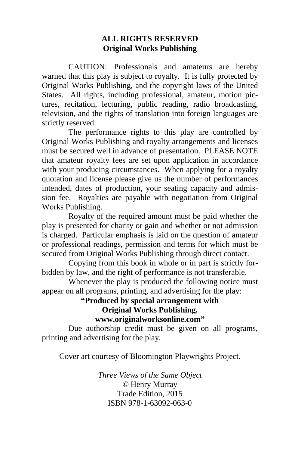#### **ALL RIGHTS RESERVED Original Works Publishing**

 CAUTION: Professionals and amateurs are hereby warned that this play is subject to royalty. It is fully protected by Original Works Publishing, and the copyright laws of the United States. All rights, including professional, amateur, motion pictures, recitation, lecturing, public reading, radio broadcasting, television, and the rights of translation into foreign languages are strictly reserved.

 The performance rights to this play are controlled by Original Works Publishing and royalty arrangements and licenses must be secured well in advance of presentation. PLEASE NOTE that amateur royalty fees are set upon application in accordance with your producing circumstances. When applying for a royalty quotation and license please give us the number of performances intended, dates of production, your seating capacity and admission fee. Royalties are payable with negotiation from Original Works Publishing.

 Royalty of the required amount must be paid whether the play is presented for charity or gain and whether or not admission is charged. Particular emphasis is laid on the question of amateur or professional readings, permission and terms for which must be secured from Original Works Publishing through direct contact.

 Copying from this book in whole or in part is strictly forbidden by law, and the right of performance is not transferable.

 Whenever the play is produced the following notice must appear on all programs, printing, and advertising for the play:

#### **"Produced by special arrangement with Original Works Publishing. www.originalworksonline.com"**

 Due authorship credit must be given on all programs, printing and advertising for the play.

Cover art courtesy of Bloomington Playwrights Project.

*Three Views of the Same Object ©* Henry Murray Trade Edition, 2015 ISBN 978-1-63092-063-0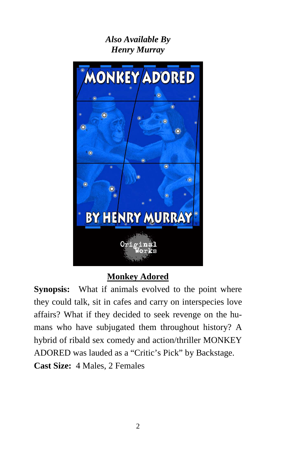## *Also Available By Henry Murray*



## **Monkey Adored**

**Synopsis:** What if animals evolved to the point where they could talk, sit in cafes and carry on interspecies love affairs? What if they decided to seek revenge on the humans who have subjugated them throughout history? A hybrid of ribald sex comedy and action/thriller MONKEY ADORED was lauded as a "Critic's Pick" by Backstage. **Cast Size:** 4 Males, 2 Females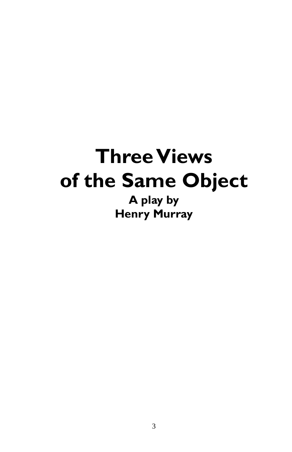# **Three Views of the Same Object**

**A play by Henry Murray**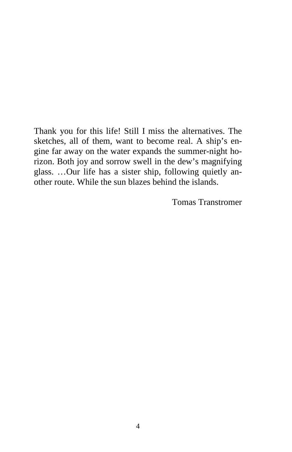Thank you for this life! Still I miss the alternatives. The sketches, all of them, want to become real. A ship's engine far away on the water expands the summer-night horizon. Both joy and sorrow swell in the dew's magnifying glass. …Our life has a sister ship, following quietly another route. While the sun blazes behind the islands.

Tomas Transtromer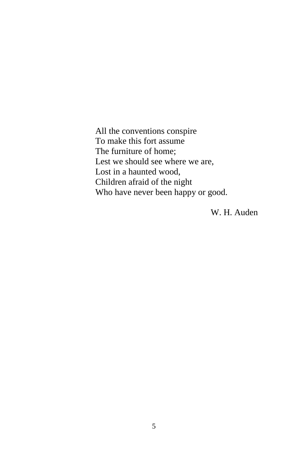All the conventions conspire To make this fort assume The furniture of home; Lest we should see where we are, Lost in a haunted wood, Children afraid of the night Who have never been happy or good.

W. H. Auden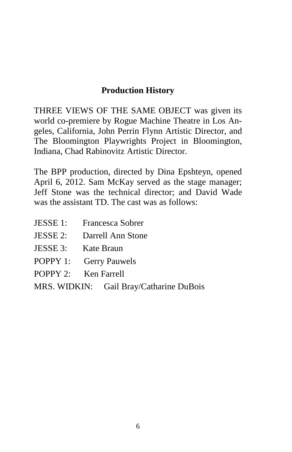## **Production History**

THREE VIEWS OF THE SAME OBJECT was given its world co-premiere by Rogue Machine Theatre in Los Angeles, California, John Perrin Flynn Artistic Director, and The Bloomington Playwrights Project in Bloomington, Indiana, Chad Rabinovitz Artistic Director.

The BPP production, directed by Dina Epshteyn, opened April 6, 2012. Sam McKay served as the stage manager; Jeff Stone was the technical director; and David Wade was the assistant TD. The cast was as follows:

- JESSE 1: Francesca Sobrer
- JESSE 2: Darrell Ann Stone
- JESSE 3: Kate Braun
- POPPY 1: Gerry Pauwels
- POPPY 2: Ken Farrell
- MRS. WIDKIN: Gail Bray/Catharine DuBois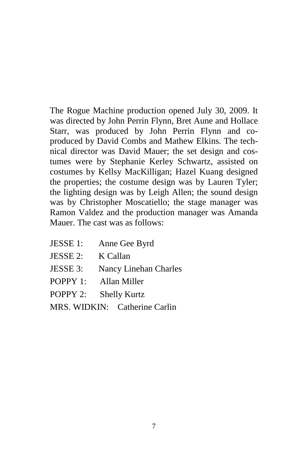The Rogue Machine production opened July 30, 2009. It was directed by John Perrin Flynn, Bret Aune and Hollace Starr, was produced by John Perrin Flynn and coproduced by David Combs and Mathew Elkins. The technical director was David Mauer; the set design and costumes were by Stephanie Kerley Schwartz, assisted on costumes by Kellsy MacKilligan; Hazel Kuang designed the properties; the costume design was by Lauren Tyler; the lighting design was by Leigh Allen; the sound design was by Christopher Moscatiello; the stage manager was Ramon Valdez and the production manager was Amanda Mauer. The cast was as follows:

- JESSE 1: Anne Gee Byrd
- JESSE 2: K Callan
- JESSE 3: Nancy Linehan Charles
- POPPY 1: Allan Miller
- POPPY 2: Shelly Kurtz
- MRS. WIDKIN: Catherine Carlin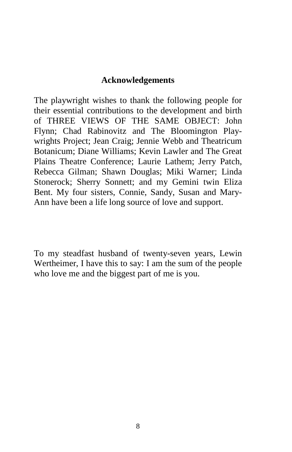#### **Acknowledgements**

The playwright wishes to thank the following people for their essential contributions to the development and birth of THREE VIEWS OF THE SAME OBJECT: John Flynn; Chad Rabinovitz and The Bloomington Playwrights Project; Jean Craig; Jennie Webb and Theatricum Botanicum; Diane Williams; Kevin Lawler and The Great Plains Theatre Conference; Laurie Lathem; Jerry Patch, Rebecca Gilman; Shawn Douglas; Miki Warner; Linda Stonerock; Sherry Sonnett; and my Gemini twin Eliza Bent. My four sisters, Connie, Sandy, Susan and Mary-Ann have been a life long source of love and support.

To my steadfast husband of twenty-seven years, Lewin Wertheimer, I have this to say: I am the sum of the people who love me and the biggest part of me is you.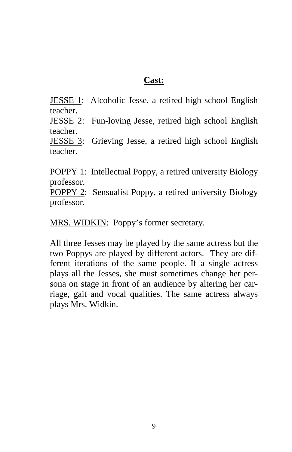#### **Cast:**

JESSE 1: Alcoholic Jesse, a retired high school English teacher.

JESSE 2: Fun-loving Jesse, retired high school English teacher.

JESSE 3: Grieving Jesse, a retired high school English teacher.

POPPY 1: Intellectual Poppy, a retired university Biology professor.

POPPY 2: Sensualist Poppy, a retired university Biology professor.

MRS. WIDKIN: Poppy's former secretary.

All three Jesses may be played by the same actress but the two Poppys are played by different actors. They are different iterations of the same people. If a single actress plays all the Jesses, she must sometimes change her persona on stage in front of an audience by altering her carriage, gait and vocal qualities. The same actress always plays Mrs. Widkin.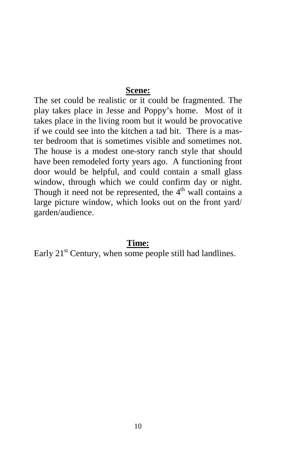#### **Scene:**

The set could be realistic or it could be fragmented. The play takes place in Jesse and Poppy's home. Most of it takes place in the living room but it would be provocative if we could see into the kitchen a tad bit. There is a master bedroom that is sometimes visible and sometimes not. The house is a modest one-story ranch style that should have been remodeled forty years ago. A functioning front door would be helpful, and could contain a small glass window, through which we could confirm day or night. Though it need not be represented, the  $4<sup>th</sup>$  wall contains a large picture window, which looks out on the front yard/ garden/audience.

#### **Time:**

Early  $21<sup>st</sup>$  Century, when some people still had landlines.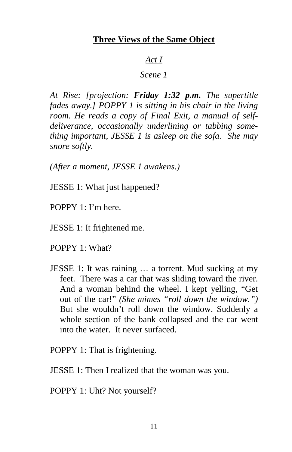#### **Three Views of the Same Object**

#### *Act I*

### *Scene 1*

*At Rise: [projection: Friday 1:32 p.m. The supertitle fades away.] POPPY 1 is sitting in his chair in the living room. He reads a copy of Final Exit, a manual of selfdeliverance, occasionally underlining or tabbing something important, JESSE 1 is asleep on the sofa. She may snore softly.* 

*(After a moment, JESSE 1 awakens.)* 

JESSE 1: What just happened?

- POPPY 1: I'm here.
- JESSE 1: It frightened me.
- POPPY 1: What?
- JESSE 1: It was raining … a torrent. Mud sucking at my feet. There was a car that was sliding toward the river. And a woman behind the wheel. I kept yelling, "Get out of the car!" *(She mimes "roll down the window.")*  But she wouldn't roll down the window. Suddenly a whole section of the bank collapsed and the car went into the water. It never surfaced.

POPPY 1: That is frightening.

JESSE 1: Then I realized that the woman was you.

POPPY 1: Uht? Not yourself?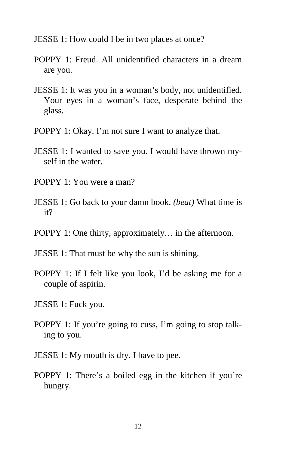- JESSE 1: How could I be in two places at once?
- POPPY 1: Freud. All unidentified characters in a dream are you.
- JESSE 1: It was you in a woman's body, not unidentified. Your eyes in a woman's face, desperate behind the glass.
- POPPY 1: Okay. I'm not sure I want to analyze that.
- JESSE 1: I wanted to save you. I would have thrown myself in the water.
- POPPY 1: You were a man?
- JESSE 1: Go back to your damn book. *(beat)* What time is it?
- POPPY 1: One thirty, approximately… in the afternoon.
- JESSE 1: That must be why the sun is shining.
- POPPY 1: If I felt like you look, I'd be asking me for a couple of aspirin.
- JESSE 1: Fuck you.
- POPPY 1: If you're going to cuss, I'm going to stop talking to you.
- JESSE 1: My mouth is dry. I have to pee.
- POPPY 1: There's a boiled egg in the kitchen if you're hungry.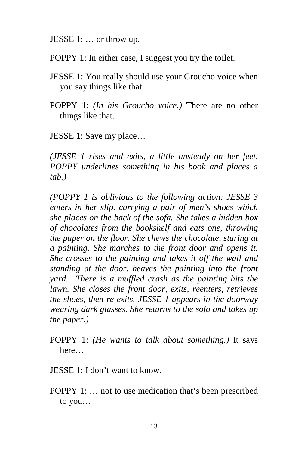JESSE 1: … or throw up.

POPPY 1: In either case, I suggest you try the toilet.

- JESSE 1: You really should use your Groucho voice when you say things like that.
- POPPY 1: *(In his Groucho voice.)* There are no other things like that.

JESSE 1: Save my place…

*(JESSE 1 rises and exits, a little unsteady on her feet. POPPY underlines something in his book and places a tab.)* 

*(POPPY 1 is oblivious to the following action: JESSE 3 enters in her slip. carrying a pair of men's shoes which she places on the back of the sofa. She takes a hidden box of chocolates from the bookshelf and eats one, throwing the paper on the floor. She chews the chocolate, staring at a painting. She marches to the front door and opens it. She crosses to the painting and takes it off the wall and standing at the door, heaves the painting into the front yard. There is a muffled crash as the painting hits the lawn. She closes the front door, exits, reenters, retrieves the shoes, then re-exits. JESSE 1 appears in the doorway wearing dark glasses. She returns to the sofa and takes up the paper.)* 

POPPY 1: *(He wants to talk about something.)* It says here…

- JESSE 1: I don't want to know.
- POPPY 1: … not to use medication that's been prescribed to you…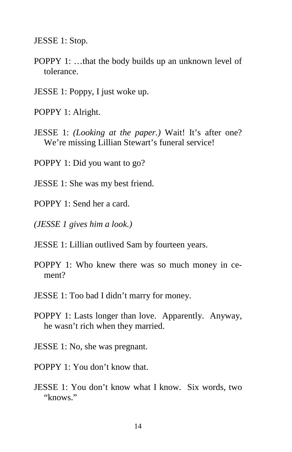JESSE 1: Stop.

- POPPY 1: …that the body builds up an unknown level of tolerance.
- JESSE 1: Poppy, I just woke up.
- POPPY 1: Alright.
- JESSE 1: *(Looking at the paper.)* Wait! It's after one? We're missing Lillian Stewart's funeral service!
- POPPY 1: Did you want to go?
- JESSE 1: She was my best friend.
- POPPY 1: Send her a card.
- *(JESSE 1 gives him a look.)*
- JESSE 1: Lillian outlived Sam by fourteen years.
- POPPY 1: Who knew there was so much money in cement?
- JESSE 1: Too bad I didn't marry for money.
- POPPY 1: Lasts longer than love. Apparently. Anyway, he wasn't rich when they married.
- JESSE 1: No, she was pregnant.
- POPPY 1: You don't know that.
- JESSE 1: You don't know what I know. Six words, two "knows."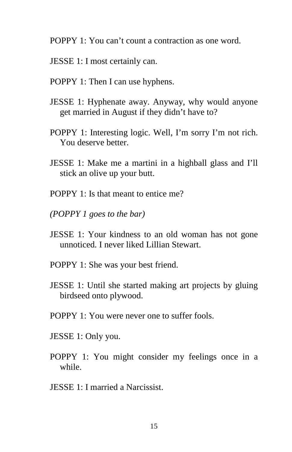- POPPY 1: You can't count a contraction as one word.
- JESSE 1: I most certainly can.
- POPPY 1: Then I can use hyphens.
- JESSE 1: Hyphenate away. Anyway, why would anyone get married in August if they didn't have to?
- POPPY 1: Interesting logic. Well, I'm sorry I'm not rich. You deserve better.
- JESSE 1: Make me a martini in a highball glass and I'll stick an olive up your butt.
- POPPY 1: Is that meant to entice me?
- *(POPPY 1 goes to the bar)*
- JESSE 1: Your kindness to an old woman has not gone unnoticed. I never liked Lillian Stewart.
- POPPY 1: She was your best friend.
- JESSE 1: Until she started making art projects by gluing birdseed onto plywood.
- POPPY 1: You were never one to suffer fools.
- JESSE 1: Only you.
- POPPY 1: You might consider my feelings once in a while.
- JESSE 1: I married a Narcissist.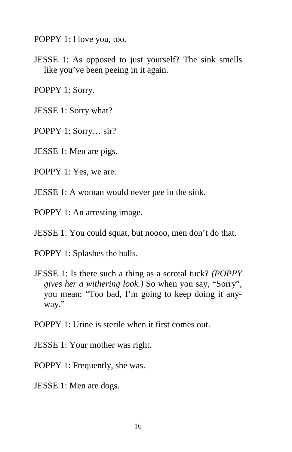POPPY 1: I love you, too.

JESSE 1: As opposed to just yourself? The sink smells like you've been peeing in it again.

POPPY 1: Sorry.

JESSE 1: Sorry what?

POPPY 1: Sorry… sir?

JESSE 1: Men are pigs.

POPPY 1: Yes, we are.

JESSE 1: A woman would never pee in the sink.

POPPY 1: An arresting image.

JESSE 1: You could squat, but noooo, men don't do that.

POPPY 1: Splashes the balls.

JESSE 1: Is there such a thing as a scrotal tuck? *(POPPY gives her a withering look.)* So when you say, "Sorry", you mean: "Too bad, I'm going to keep doing it anyway."

POPPY 1: Urine is sterile when it first comes out.

- JESSE 1: Your mother was right.
- POPPY 1: Frequently, she was.
- JESSE 1: Men are dogs.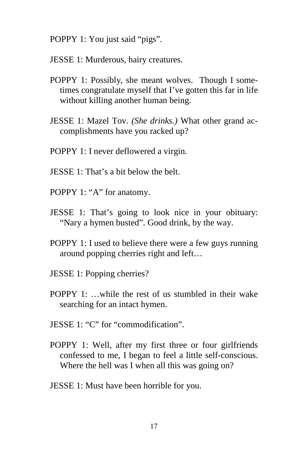POPPY 1: You just said "pigs".

- JESSE 1: Murderous, hairy creatures.
- POPPY 1: Possibly, she meant wolves. Though I sometimes congratulate myself that I've gotten this far in life without killing another human being.
- JESSE 1: Mazel Tov. *(She drinks.)* What other grand accomplishments have you racked up?
- POPPY 1: I never deflowered a virgin.
- JESSE 1: That's a bit below the belt.
- POPPY 1: "A" for anatomy.
- JESSE 1: That's going to look nice in your obituary: "Nary a hymen busted". Good drink, by the way.
- POPPY 1: I used to believe there were a few guys running around popping cherries right and left…
- JESSE 1: Popping cherries?
- POPPY 1: …while the rest of us stumbled in their wake searching for an intact hymen.
- JESSE 1: "C" for "commodification".
- POPPY 1: Well, after my first three or four girlfriends confessed to me, I began to feel a little self-conscious. Where the hell was I when all this was going on?
- JESSE 1: Must have been horrible for you.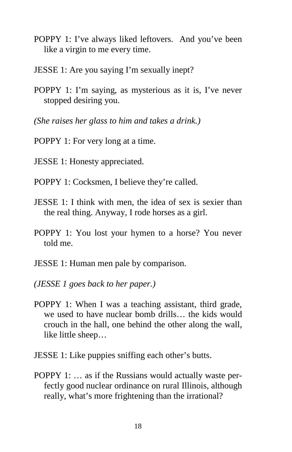- POPPY 1: I've always liked leftovers. And you've been like a virgin to me every time.
- JESSE 1: Are you saying I'm sexually inept?
- POPPY 1: I'm saying, as mysterious as it is, I've never stopped desiring you.
- *(She raises her glass to him and takes a drink.)*
- POPPY 1: For very long at a time.
- JESSE 1: Honesty appreciated.
- POPPY 1: Cocksmen, I believe they're called.
- JESSE 1: I think with men, the idea of sex is sexier than the real thing. Anyway, I rode horses as a girl.
- POPPY 1: You lost your hymen to a horse? You never told me.
- JESSE 1: Human men pale by comparison.
- *(JESSE 1 goes back to her paper.)*
- POPPY 1: When I was a teaching assistant, third grade, we used to have nuclear bomb drills… the kids would crouch in the hall, one behind the other along the wall, like little sheep…
- JESSE 1: Like puppies sniffing each other's butts.
- POPPY 1: … as if the Russians would actually waste perfectly good nuclear ordinance on rural Illinois, although really, what's more frightening than the irrational?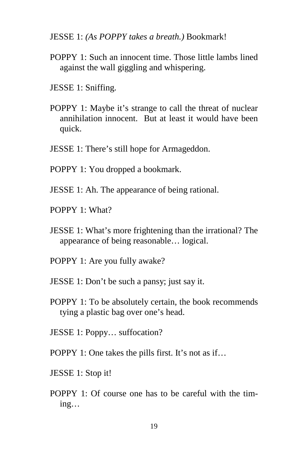JESSE 1: *(As POPPY takes a breath.)* Bookmark!

- POPPY 1: Such an innocent time. Those little lambs lined against the wall giggling and whispering.
- JESSE 1: Sniffing.
- POPPY 1: Maybe it's strange to call the threat of nuclear annihilation innocent. But at least it would have been quick.
- JESSE 1: There's still hope for Armageddon.
- POPPY 1: You dropped a bookmark.
- JESSE 1: Ah. The appearance of being rational.
- POPPY 1: What?
- JESSE 1: What's more frightening than the irrational? The appearance of being reasonable… logical.
- POPPY 1: Are you fully awake?
- JESSE 1: Don't be such a pansy; just say it.
- POPPY 1: To be absolutely certain, the book recommends tying a plastic bag over one's head.
- JESSE 1: Poppy… suffocation?
- POPPY 1: One takes the pills first. It's not as if...
- JESSE 1: Stop it!
- POPPY 1: Of course one has to be careful with the timing…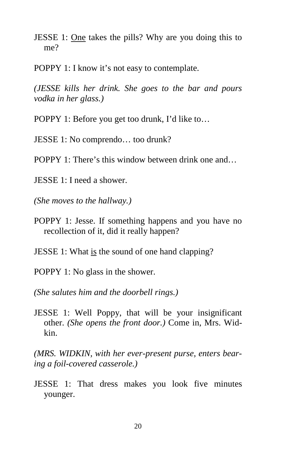- JESSE 1: One takes the pills? Why are you doing this to me?
- POPPY 1: I know it's not easy to contemplate.

*(JESSE kills her drink. She goes to the bar and pours vodka in her glass.)* 

POPPY 1: Before you get too drunk, I'd like to…

JESSE 1: No comprendo… too drunk?

POPPY 1: There's this window between drink one and…

JESSE 1: I need a shower.

*(She moves to the hallway.)* 

POPPY 1: Jesse. If something happens and you have no recollection of it, did it really happen?

JESSE 1: What is the sound of one hand clapping?

POPPY 1: No glass in the shower.

*(She salutes him and the doorbell rings.)* 

JESSE 1: Well Poppy, that will be your insignificant other. *(She opens the front door.)* Come in, Mrs. Widkin.

*(MRS. WIDKIN, with her ever-present purse, enters bearing a foil-covered casserole.)* 

JESSE 1: That dress makes you look five minutes younger.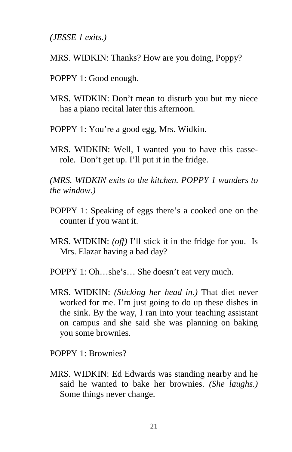*(JESSE 1 exits.)* 

- MRS. WIDKIN: Thanks? How are you doing, Poppy?
- POPPY 1: Good enough.
- MRS. WIDKIN: Don't mean to disturb you but my niece has a piano recital later this afternoon.
- POPPY 1: You're a good egg, Mrs. Widkin.
- MRS. WIDKIN: Well, I wanted you to have this casserole. Don't get up. I'll put it in the fridge.

*(MRS. WIDKIN exits to the kitchen. POPPY 1 wanders to the window.)* 

- POPPY 1: Speaking of eggs there's a cooked one on the counter if you want it.
- MRS. WIDKIN: *(off)* I'll stick it in the fridge for you. Is Mrs. Elazar having a bad day?
- POPPY 1: Oh…she's… She doesn't eat very much.
- MRS. WIDKIN: *(Sticking her head in.)* That diet never worked for me. I'm just going to do up these dishes in the sink. By the way, I ran into your teaching assistant on campus and she said she was planning on baking you some brownies.

POPPY 1: Brownies?

MRS. WIDKIN: Ed Edwards was standing nearby and he said he wanted to bake her brownies. *(She laughs.)*  Some things never change.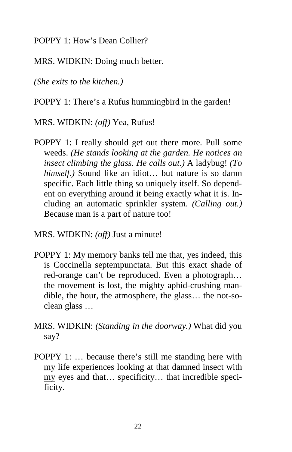POPPY 1: How's Dean Collier?

MRS. WIDKIN: Doing much better.

*(She exits to the kitchen.)* 

POPPY 1: There's a Rufus hummingbird in the garden!

MRS. WIDKIN: *(off)* Yea, Rufus!

- POPPY 1: I really should get out there more. Pull some weeds. *(He stands looking at the garden. He notices an insect climbing the glass. He calls out.)* A ladybug! *(To himself.)* Sound like an idiot… but nature is so damn specific. Each little thing so uniquely itself. So dependent on everything around it being exactly what it is. Including an automatic sprinkler system. *(Calling out.)*  Because man is a part of nature too!
- MRS. WIDKIN: *(off)* Just a minute!
- POPPY 1: My memory banks tell me that, yes indeed, this is Coccinella septempunctata. But this exact shade of red-orange can't be reproduced. Even a photograph… the movement is lost, the mighty aphid-crushing mandible, the hour, the atmosphere, the glass… the not-soclean glass …
- MRS. WIDKIN: *(Standing in the doorway.)* What did you say?
- POPPY 1: … because there's still me standing here with my life experiences looking at that damned insect with my eyes and that… specificity… that incredible specificity.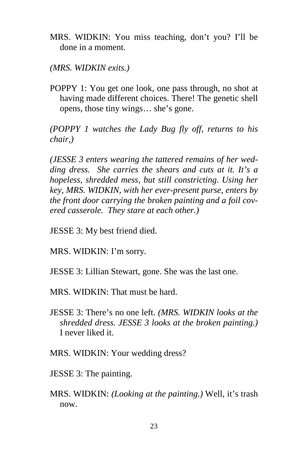MRS. WIDKIN: You miss teaching, don't you? I'll be done in a moment.

*(MRS. WIDKIN exits.)* 

POPPY 1: You get one look, one pass through, no shot at having made different choices. There! The genetic shell opens, those tiny wings… she's gone.

*(POPPY 1 watches the Lady Bug fly off, returns to his chair,)* 

*(JESSE 3 enters wearing the tattered remains of her wedding dress. She carries the shears and cuts at it. It's a hopeless, shredded mess, but still constricting. Using her key, MRS. WIDKIN, with her ever-present purse, enters by the front door carrying the broken painting and a foil covered casserole. They stare at each other.)* 

JESSE 3: My best friend died.

MRS. WIDKIN: I'm sorry.

JESSE 3: Lillian Stewart, gone. She was the last one.

MRS. WIDKIN: That must be hard.

- JESSE 3: There's no one left. *(MRS. WIDKIN looks at the shredded dress. JESSE 3 looks at the broken painting.)*  I never liked it.
- MRS. WIDKIN: Your wedding dress?
- JESSE 3: The painting.
- MRS. WIDKIN: *(Looking at the painting.)* Well, it's trash now.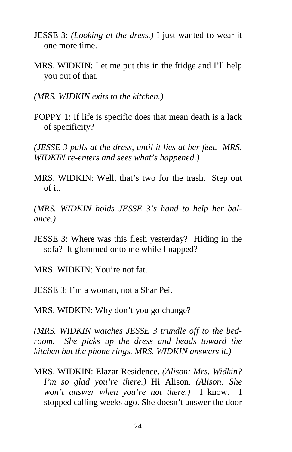- JESSE 3: *(Looking at the dress.)* I just wanted to wear it one more time.
- MRS. WIDKIN: Let me put this in the fridge and I'll help you out of that.
- *(MRS. WIDKIN exits to the kitchen.)*
- POPPY 1: If life is specific does that mean death is a lack of specificity?

*(JESSE 3 pulls at the dress, until it lies at her feet. MRS. WIDKIN re-enters and sees what's happened.)* 

MRS. WIDKIN: Well, that's two for the trash. Step out of it.

*(MRS. WIDKIN holds JESSE 3's hand to help her balance.)* 

- JESSE 3: Where was this flesh yesterday? Hiding in the sofa? It glommed onto me while I napped?
- MRS. WIDKIN: You're not fat.

JESSE 3: I'm a woman, not a Shar Pei.

MRS. WIDKIN: Why don't you go change?

*(MRS. WIDKIN watches JESSE 3 trundle off to the bedroom. She picks up the dress and heads toward the kitchen but the phone rings. MRS. WIDKIN answers it.)* 

MRS. WIDKIN: Elazar Residence. *(Alison: Mrs. Widkin? I'm so glad you're there.)* Hi Alison. *(Alison: She won't answer when you're not there.)* I know. I stopped calling weeks ago. She doesn't answer the door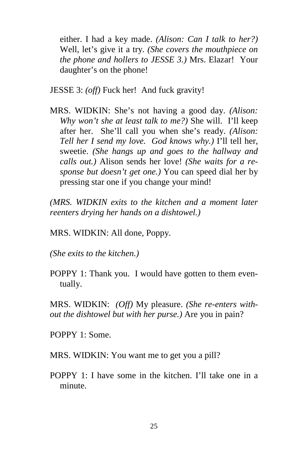either. I had a key made. *(Alison: Can I talk to her?)*  Well, let's give it a try. *(She covers the mouthpiece on the phone and hollers to JESSE 3.)* Mrs. Elazar! Your daughter's on the phone!

JESSE 3: *(off)* Fuck her! And fuck gravity!

MRS. WIDKIN: She's not having a good day. *(Alison: Why won't she at least talk to me?)* She will. I'll keep after her. She'll call you when she's ready. *(Alison: Tell her I send my love. God knows why.)* I'll tell her, sweetie. *(She hangs up and goes to the hallway and calls out.)* Alison sends her love! *(She waits for a response but doesn't get one.)* You can speed dial her by pressing star one if you change your mind!

*(MRS. WIDKIN exits to the kitchen and a moment later reenters drying her hands on a dishtowel.)* 

MRS. WIDKIN: All done, Poppy.

*(She exits to the kitchen.)* 

POPPY 1: Thank you. I would have gotten to them eventually.

MRS. WIDKIN: *(Off)* My pleasure. *(She re-enters without the dishtowel but with her purse.)* Are you in pain?

POPPY 1: Some.

MRS. WIDKIN: You want me to get you a pill?

POPPY 1: I have some in the kitchen. I'll take one in a minute.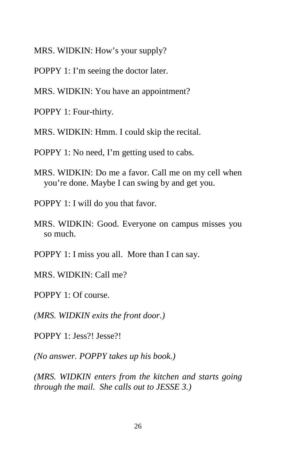MRS. WIDKIN: How's your supply?

- POPPY 1: I'm seeing the doctor later.
- MRS. WIDKIN: You have an appointment?
- POPPY 1: Four-thirty.
- MRS. WIDKIN: Hmm. I could skip the recital.
- POPPY 1: No need, I'm getting used to cabs.
- MRS. WIDKIN: Do me a favor. Call me on my cell when you're done. Maybe I can swing by and get you.
- POPPY 1: I will do you that favor.
- MRS. WIDKIN: Good. Everyone on campus misses you so much.
- POPPY 1: I miss you all. More than I can say.
- MRS. WIDKIN: Call me?
- POPPY 1: Of course.
- *(MRS. WIDKIN exits the front door.)*
- POPPY 1: Jess?! Jesse?!

*(No answer. POPPY takes up his book.)* 

*(MRS. WIDKIN enters from the kitchen and starts going through the mail. She calls out to JESSE 3.)*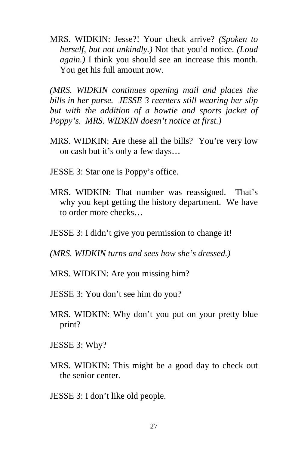MRS. WIDKIN: Jesse?! Your check arrive? *(Spoken to herself, but not unkindly.)* Not that you'd notice. *(Loud again.)* I think you should see an increase this month. You get his full amount now.

*(MRS. WIDKIN continues opening mail and places the bills in her purse. JESSE 3 reenters still wearing her slip but with the addition of a bowtie and sports jacket of Poppy's. MRS. WIDKIN doesn't notice at first.)* 

- MRS. WIDKIN: Are these all the bills? You're very low on cash but it's only a few days…
- JESSE 3: Star one is Poppy's office.
- MRS. WIDKIN: That number was reassigned. That's why you kept getting the history department. We have to order more checks…
- JESSE 3: I didn't give you permission to change it!
- *(MRS. WIDKIN turns and sees how she's dressed.)*
- MRS. WIDKIN: Are you missing him?
- JESSE 3: You don't see him do you?
- MRS. WIDKIN: Why don't you put on your pretty blue print?
- JESSE 3: Why?
- MRS. WIDKIN: This might be a good day to check out the senior center.
- JESSE 3: I don't like old people.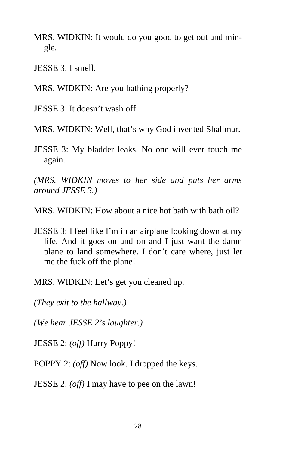- MRS. WIDKIN: It would do you good to get out and mingle.
- JESSE 3: I smell.
- MRS. WIDKIN: Are you bathing properly?
- JESSE 3: It doesn't wash off.
- MRS. WIDKIN: Well, that's why God invented Shalimar.
- JESSE 3: My bladder leaks. No one will ever touch me again.

*(MRS. WIDKIN moves to her side and puts her arms around JESSE 3.)* 

- MRS. WIDKIN: How about a nice hot bath with bath oil?
- JESSE 3: I feel like I'm in an airplane looking down at my life. And it goes on and on and I just want the damn plane to land somewhere. I don't care where, just let me the fuck off the plane!
- MRS. WIDKIN: Let's get you cleaned up.

*(They exit to the hallway.)* 

*(We hear JESSE 2's laughter.)* 

JESSE 2: *(off)* Hurry Poppy!

POPPY 2: *(off)* Now look. I dropped the keys.

JESSE 2: *(off)* I may have to pee on the lawn!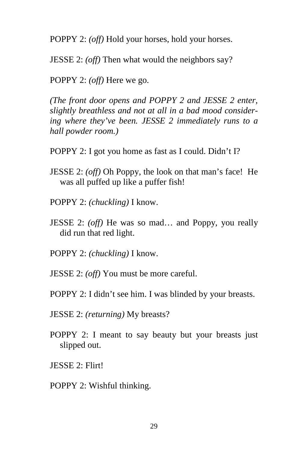POPPY 2: *(off)* Hold your horses, hold your horses.

JESSE 2: *(off)* Then what would the neighbors say?

POPPY 2: *(off)* Here we go.

*(The front door opens and POPPY 2 and JESSE 2 enter, slightly breathless and not at all in a bad mood considering where they've been. JESSE 2 immediately runs to a hall powder room.)* 

- POPPY 2: I got you home as fast as I could. Didn't I?
- JESSE 2: *(off)* Oh Poppy, the look on that man's face! He was all puffed up like a puffer fish!
- POPPY 2: *(chuckling)* I know.
- JESSE 2: *(off)* He was so mad… and Poppy, you really did run that red light.
- POPPY 2: *(chuckling)* I know.
- JESSE 2: *(off)* You must be more careful.
- POPPY 2: I didn't see him. I was blinded by your breasts.
- JESSE 2: *(returning)* My breasts?
- POPPY 2: I meant to say beauty but your breasts just slipped out.
- JESSE 2: Flirt!
- POPPY 2: Wishful thinking.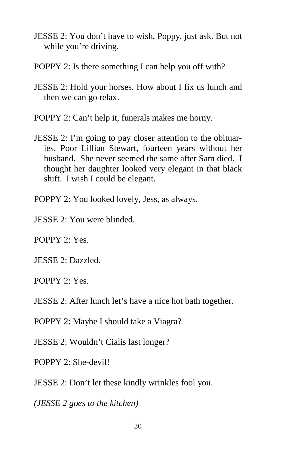- JESSE 2: You don't have to wish, Poppy, just ask. But not while you're driving.
- POPPY 2: Is there something I can help you off with?
- JESSE 2: Hold your horses. How about I fix us lunch and then we can go relax.
- POPPY 2: Can't help it, funerals makes me horny.
- JESSE 2: I'm going to pay closer attention to the obituaries. Poor Lillian Stewart, fourteen years without her husband. She never seemed the same after Sam died. I thought her daughter looked very elegant in that black shift. I wish I could be elegant.
- POPPY 2: You looked lovely, Jess, as always.
- JESSE 2: You were blinded.

POPPY 2: Yes.

JESSE 2: Dazzled.

POPPY 2: Yes.

JESSE 2: After lunch let's have a nice hot bath together.

POPPY 2: Maybe I should take a Viagra?

JESSE 2: Wouldn't Cialis last longer?

POPPY 2: She-devil!

JESSE 2: Don't let these kindly wrinkles fool you.

*(JESSE 2 goes to the kitchen)*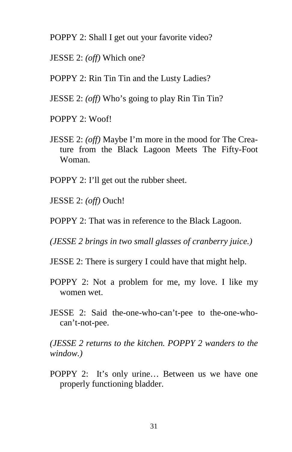- POPPY 2: Shall I get out your favorite video?
- JESSE 2: *(off)* Which one?

POPPY 2: Rin Tin Tin and the Lusty Ladies?

- JESSE 2: *(off)* Who's going to play Rin Tin Tin?
- POPPY 2: Woof!
- JESSE 2: *(off)* Maybe I'm more in the mood for The Creature from the Black Lagoon Meets The Fifty-Foot Woman.
- POPPY 2: I'll get out the rubber sheet.
- JESSE 2: *(off)* Ouch!
- POPPY 2: That was in reference to the Black Lagoon.
- *(JESSE 2 brings in two small glasses of cranberry juice.)*
- JESSE 2: There is surgery I could have that might help.
- POPPY 2: Not a problem for me, my love. I like my women wet.
- JESSE 2: Said the-one-who-can't-pee to the-one-whocan't-not-pee.

*(JESSE 2 returns to the kitchen. POPPY 2 wanders to the window.)* 

POPPY 2: It's only urine… Between us we have one properly functioning bladder.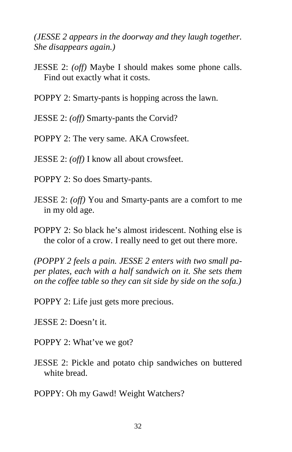*(JESSE 2 appears in the doorway and they laugh together. She disappears again.)* 

- JESSE 2: *(off)* Maybe I should makes some phone calls. Find out exactly what it costs.
- POPPY 2: Smarty-pants is hopping across the lawn.
- JESSE 2: *(off)* Smarty-pants the Corvid?
- POPPY 2: The very same. AKA Crowsfeet.
- JESSE 2: *(off)* I know all about crowsfeet.
- POPPY 2: So does Smarty-pants.
- JESSE 2: *(off)* You and Smarty-pants are a comfort to me in my old age.
- POPPY 2: So black he's almost iridescent. Nothing else is the color of a crow. I really need to get out there more.

*(POPPY 2 feels a pain. JESSE 2 enters with two small paper plates, each with a half sandwich on it. She sets them on the coffee table so they can sit side by side on the sofa.)* 

POPPY 2: Life just gets more precious.

JESSE 2: Doesn't it.

- POPPY 2: What've we got?
- JESSE 2: Pickle and potato chip sandwiches on buttered white bread.
- POPPY: Oh my Gawd! Weight Watchers?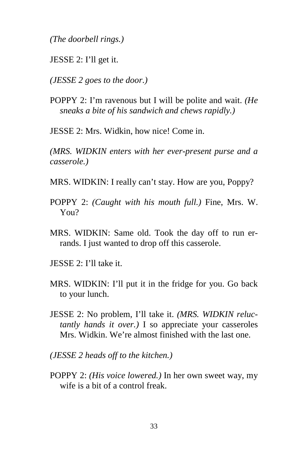*(The doorbell rings.)* 

JESSE 2: I'll get it.

*(JESSE 2 goes to the door.)* 

POPPY 2: I'm ravenous but I will be polite and wait. *(He sneaks a bite of his sandwich and chews rapidly.)* 

JESSE 2: Mrs. Widkin, how nice! Come in.

*(MRS. WIDKIN enters with her ever-present purse and a casserole.)* 

MRS. WIDKIN: I really can't stay. How are you, Poppy?

- POPPY 2: *(Caught with his mouth full.)* Fine, Mrs. W. You?
- MRS. WIDKIN: Same old. Took the day off to run errands. I just wanted to drop off this casserole.
- JESSE 2: I'll take it.
- MRS. WIDKIN: I'll put it in the fridge for you. Go back to your lunch.
- JESSE 2: No problem, I'll take it. *(MRS. WIDKIN reluctantly hands it over.)* I so appreciate your casseroles Mrs. Widkin. We're almost finished with the last one.
- *(JESSE 2 heads off to the kitchen.)*
- POPPY 2: *(His voice lowered.)* In her own sweet way, my wife is a bit of a control freak.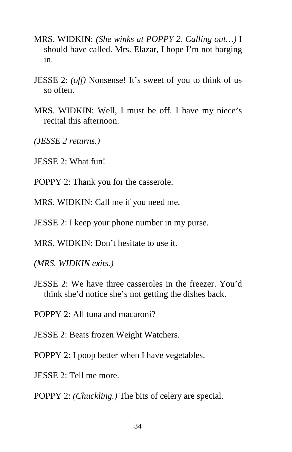- MRS. WIDKIN: *(She winks at POPPY 2. Calling out…)* I should have called. Mrs. Elazar, I hope I'm not barging in.
- JESSE 2: *(off)* Nonsense! It's sweet of you to think of us so often.
- MRS. WIDKIN: Well, I must be off. I have my niece's recital this afternoon.
- *(JESSE 2 returns.)*
- JESSE 2: What fun!
- POPPY 2: Thank you for the casserole.
- MRS. WIDKIN: Call me if you need me.
- JESSE 2: I keep your phone number in my purse.
- MRS. WIDKIN: Don't hesitate to use it.
- *(MRS. WIDKIN exits.)*
- JESSE 2: We have three casseroles in the freezer. You'd think she'd notice she's not getting the dishes back.
- POPPY 2: All tuna and macaroni?
- JESSE 2: Beats frozen Weight Watchers.
- POPPY 2: I poop better when I have vegetables.
- JESSE 2: Tell me more.
- POPPY 2: *(Chuckling.)* The bits of celery are special.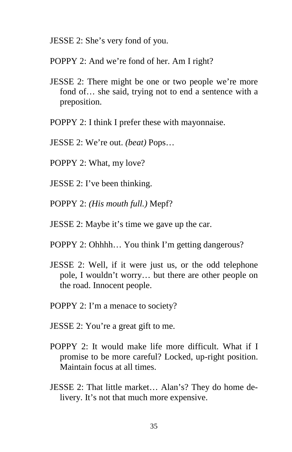JESSE 2: She's very fond of you.

POPPY 2: And we're fond of her. Am I right?

- JESSE 2: There might be one or two people we're more fond of… she said, trying not to end a sentence with a preposition.
- POPPY 2: I think I prefer these with mayonnaise.
- JESSE 2: We're out. *(beat)* Pops…
- POPPY 2: What, my love?
- JESSE 2: I've been thinking.
- POPPY 2: *(His mouth full.)* Mepf?
- JESSE 2: Maybe it's time we gave up the car.
- POPPY 2: Ohhhh… You think I'm getting dangerous?
- JESSE 2: Well, if it were just us, or the odd telephone pole, I wouldn't worry… but there are other people on the road. Innocent people.
- POPPY 2: I'm a menace to society?
- JESSE 2: You're a great gift to me.
- POPPY 2: It would make life more difficult. What if I promise to be more careful? Locked, up-right position. Maintain focus at all times.
- JESSE 2: That little market… Alan's? They do home delivery. It's not that much more expensive.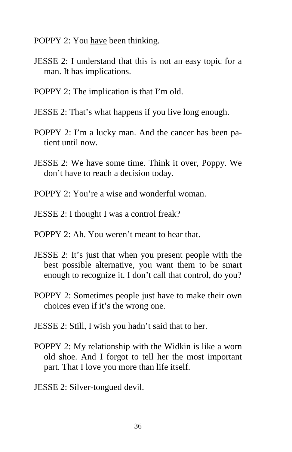- POPPY 2: You have been thinking.
- JESSE 2: I understand that this is not an easy topic for a man. It has implications.
- POPPY 2: The implication is that I'm old.
- JESSE 2: That's what happens if you live long enough.
- POPPY 2: I'm a lucky man. And the cancer has been patient until now.
- JESSE 2: We have some time. Think it over, Poppy. We don't have to reach a decision today.
- POPPY 2: You're a wise and wonderful woman.
- JESSE 2: I thought I was a control freak?
- POPPY 2: Ah. You weren't meant to hear that.
- JESSE 2: It's just that when you present people with the best possible alternative, you want them to be smart enough to recognize it. I don't call that control, do you?
- POPPY 2: Sometimes people just have to make their own choices even if it's the wrong one.
- JESSE 2: Still, I wish you hadn't said that to her.
- POPPY 2: My relationship with the Widkin is like a worn old shoe. And I forgot to tell her the most important part. That I love you more than life itself.
- JESSE 2: Silver-tongued devil.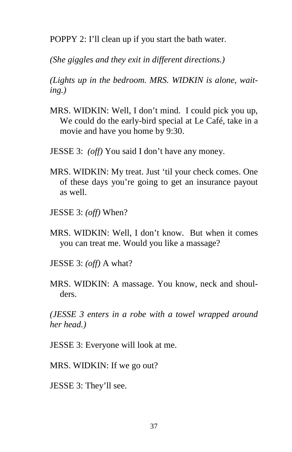POPPY 2: I'll clean up if you start the bath water.

*(She giggles and they exit in different directions.)* 

*(Lights up in the bedroom. MRS. WIDKIN is alone, waiting.)* 

- MRS. WIDKIN: Well, I don't mind. I could pick you up, We could do the early-bird special at Le Café, take in a movie and have you home by 9:30.
- JESSE 3: *(off)* You said I don't have any money.
- MRS. WIDKIN: My treat. Just 'til your check comes. One of these days you're going to get an insurance payout as well.
- JESSE 3: *(off)* When?
- MRS. WIDKIN: Well, I don't know. But when it comes you can treat me. Would you like a massage?
- JESSE 3: *(off)* A what?
- MRS. WIDKIN: A massage. You know, neck and shoulders.

*(JESSE 3 enters in a robe with a towel wrapped around her head.)* 

JESSE 3: Everyone will look at me.

MRS. WIDKIN: If we go out?

JESSE 3: They'll see.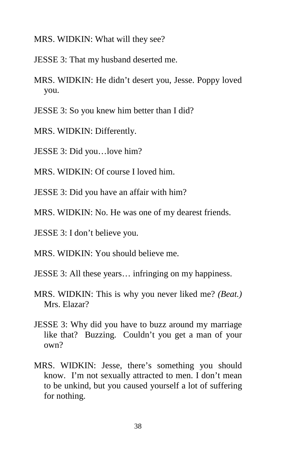- MRS. WIDKIN: What will they see?
- JESSE 3: That my husband deserted me.
- MRS. WIDKIN: He didn't desert you, Jesse. Poppy loved you.
- JESSE 3: So you knew him better than I did?
- MRS. WIDKIN: Differently.
- JESSE 3: Did you…love him?
- MRS. WIDKIN: Of course I loved him.
- JESSE 3: Did you have an affair with him?
- MRS. WIDKIN: No. He was one of my dearest friends.
- JESSE 3: I don't believe you.
- MRS. WIDKIN: You should believe me.
- JESSE 3: All these years… infringing on my happiness.
- MRS. WIDKIN: This is why you never liked me? *(Beat.)*  Mrs. Elazar?
- JESSE 3: Why did you have to buzz around my marriage like that? Buzzing. Couldn't you get a man of your own?
- MRS. WIDKIN: Jesse, there's something you should know. I'm not sexually attracted to men. I don't mean to be unkind, but you caused yourself a lot of suffering for nothing.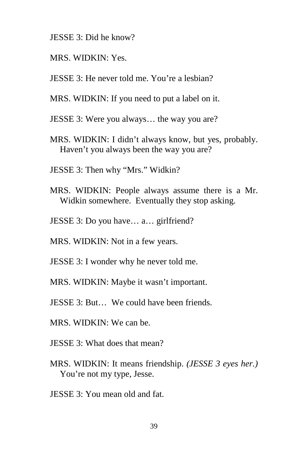- JESSE 3: Did he know?
- MRS. WIDKIN: Yes.
- JESSE 3: He never told me. You're a lesbian?
- MRS. WIDKIN: If you need to put a label on it.
- JESSE 3: Were you always… the way you are?
- MRS. WIDKIN: I didn't always know, but yes, probably. Haven't you always been the way you are?
- JESSE 3: Then why "Mrs." Widkin?
- MRS. WIDKIN: People always assume there is a Mr. Widkin somewhere. Eventually they stop asking.
- JESSE 3: Do you have… a… girlfriend?
- MRS. WIDKIN: Not in a few years.
- JESSE 3: I wonder why he never told me.
- MRS. WIDKIN: Maybe it wasn't important.
- JESSE 3: But… We could have been friends.
- MRS. WIDKIN: We can be.
- JESSE 3: What does that mean?
- MRS. WIDKIN: It means friendship. *(JESSE 3 eyes her.)*  You're not my type, Jesse.
- JESSE 3: You mean old and fat.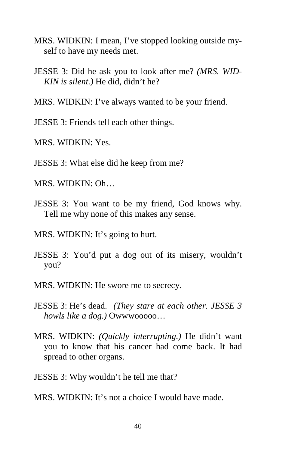- MRS. WIDKIN: I mean, I've stopped looking outside myself to have my needs met.
- JESSE 3: Did he ask you to look after me? *(MRS. WID-KIN is silent.)* He did, didn't he?
- MRS. WIDKIN: I've always wanted to be your friend.
- JESSE 3: Friends tell each other things.
- MRS. WIDKIN: Yes.
- JESSE 3: What else did he keep from me?
- MRS. WIDKIN: Oh…
- JESSE 3: You want to be my friend, God knows why. Tell me why none of this makes any sense.
- MRS. WIDKIN: It's going to hurt.
- JESSE 3: You'd put a dog out of its misery, wouldn't you?
- MRS. WIDKIN: He swore me to secrecy.
- JESSE 3: He's dead. *(They stare at each other. JESSE 3 howls like a dog.)* Owwwooooo…
- MRS. WIDKIN: *(Quickly interrupting.)* He didn't want you to know that his cancer had come back. It had spread to other organs.
- JESSE 3: Why wouldn't he tell me that?
- MRS. WIDKIN: It's not a choice I would have made.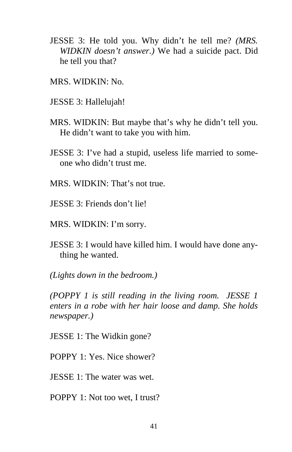- JESSE 3: He told you. Why didn't he tell me? *(MRS. WIDKIN doesn't answer.)* We had a suicide pact. Did he tell you that?
- MRS. WIDKIN: No.
- JESSE 3: Hallelujah!
- MRS. WIDKIN: But maybe that's why he didn't tell you. He didn't want to take you with him.
- JESSE 3: I've had a stupid, useless life married to someone who didn't trust me.
- MRS. WIDKIN: That's not true.
- JESSE 3: Friends don't lie!
- MRS. WIDKIN: I'm sorry.
- JESSE 3: I would have killed him. I would have done anything he wanted.

*(Lights down in the bedroom.)* 

*(POPPY 1 is still reading in the living room. JESSE 1 enters in a robe with her hair loose and damp. She holds newspaper.)* 

JESSE 1: The Widkin gone?

POPPY 1: Yes. Nice shower?

JESSE 1: The water was wet.

POPPY 1: Not too wet, I trust?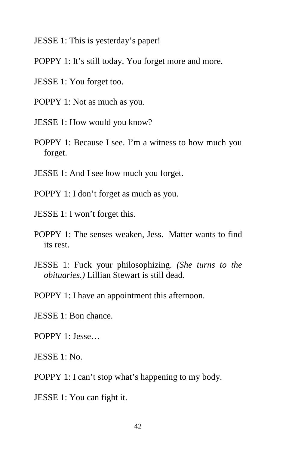JESSE 1: This is yesterday's paper!

- POPPY 1: It's still today. You forget more and more.
- JESSE 1: You forget too.
- POPPY 1: Not as much as you.
- JESSE 1: How would you know?
- POPPY 1: Because I see. I'm a witness to how much you forget.
- JESSE 1: And I see how much you forget.
- POPPY 1: I don't forget as much as you.
- JESSE 1: I won't forget this.
- POPPY 1: The senses weaken, Jess. Matter wants to find its rest.
- JESSE 1: Fuck your philosophizing. *(She turns to the obituaries.)* Lillian Stewart is still dead.
- POPPY 1: I have an appointment this afternoon.
- JESSE 1: Bon chance.
- POPPY 1: Jesse…
- JESSE 1: No.
- POPPY 1: I can't stop what's happening to my body.
- JESSE 1: You can fight it.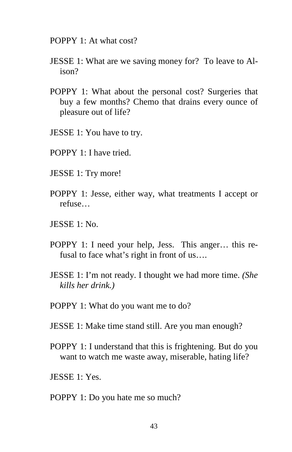POPPY 1: At what cost?

- JESSE 1: What are we saving money for? To leave to Alison?
- POPPY 1: What about the personal cost? Surgeries that buy a few months? Chemo that drains every ounce of pleasure out of life?
- JESSE 1: You have to try.
- POPPY 1: I have tried.
- JESSE 1: Try more!
- POPPY 1: Jesse, either way, what treatments I accept or refuse…
- JESSE 1: No.
- POPPY 1: I need your help, Jess. This anger… this refusal to face what's right in front of us….
- JESSE 1: I'm not ready. I thought we had more time. *(She kills her drink.)*
- POPPY 1: What do you want me to do?
- JESSE 1: Make time stand still. Are you man enough?
- POPPY 1: I understand that this is frightening. But do you want to watch me waste away, miserable, hating life?
- JESSE 1: Yes.
- POPPY 1: Do you hate me so much?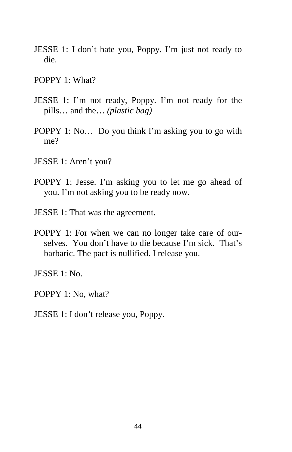- JESSE 1: I don't hate you, Poppy. I'm just not ready to die.
- POPPY 1: What?
- JESSE 1: I'm not ready, Poppy. I'm not ready for the pills… and the… *(plastic bag)*
- POPPY 1: No… Do you think I'm asking you to go with me?
- JESSE 1: Aren't you?
- POPPY 1: Jesse. I'm asking you to let me go ahead of you. I'm not asking you to be ready now.
- JESSE 1: That was the agreement.
- POPPY 1: For when we can no longer take care of ourselves. You don't have to die because I'm sick. That's barbaric. The pact is nullified. I release you.

JESSE 1: No.

POPPY 1: No, what?

JESSE 1: I don't release you, Poppy.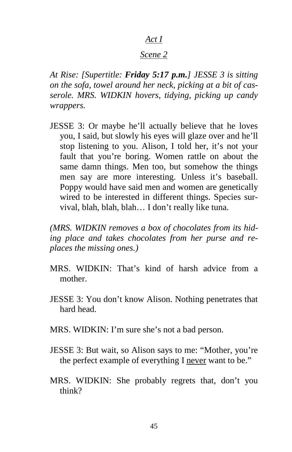#### *Act I*

## *Scene 2*

*At Rise: [Supertitle: Friday 5:17 p.m.] JESSE 3 is sitting on the sofa, towel around her neck, picking at a bit of casserole. MRS. WIDKIN hovers, tidying, picking up candy wrappers.*

JESSE 3: Or maybe he'll actually believe that he loves you, I said, but slowly his eyes will glaze over and he'll stop listening to you. Alison, I told her, it's not your fault that you're boring. Women rattle on about the same damn things. Men too, but somehow the things men say are more interesting. Unless it's baseball. Poppy would have said men and women are genetically wired to be interested in different things. Species survival, blah, blah, blah… I don't really like tuna.

*(MRS. WIDKIN removes a box of chocolates from its hiding place and takes chocolates from her purse and replaces the missing ones.)* 

- MRS. WIDKIN: That's kind of harsh advice from a mother.
- JESSE 3: You don't know Alison. Nothing penetrates that hard head.
- MRS. WIDKIN: I'm sure she's not a bad person.
- JESSE 3: But wait, so Alison says to me: "Mother, you're the perfect example of everything I never want to be."
- MRS. WIDKIN: She probably regrets that, don't you think?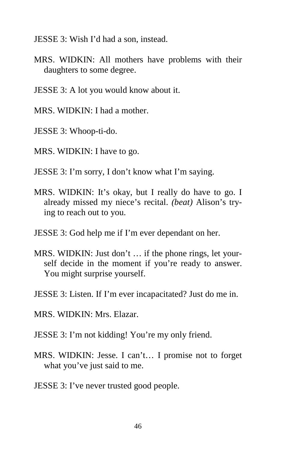JESSE 3: Wish I'd had a son, instead.

- MRS. WIDKIN: All mothers have problems with their daughters to some degree.
- JESSE 3: A lot you would know about it.
- MRS. WIDKIN: I had a mother.
- JESSE 3: Whoop-ti-do.
- MRS. WIDKIN: I have to go.
- JESSE 3: I'm sorry, I don't know what I'm saying.
- MRS. WIDKIN: It's okay, but I really do have to go. I already missed my niece's recital. *(beat)* Alison's trying to reach out to you.
- JESSE 3: God help me if I'm ever dependant on her.
- MRS. WIDKIN: Just don't … if the phone rings, let yourself decide in the moment if you're ready to answer. You might surprise yourself.
- JESSE 3: Listen. If I'm ever incapacitated? Just do me in.
- MRS. WIDKIN: Mrs. Elazar.
- JESSE 3: I'm not kidding! You're my only friend.
- MRS. WIDKIN: Jesse. I can't… I promise not to forget what you've just said to me.
- JESSE 3: I've never trusted good people.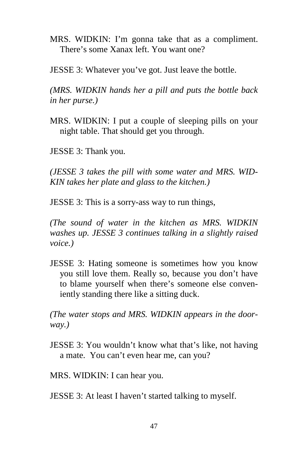MRS. WIDKIN: I'm gonna take that as a compliment. There's some Xanax left. You want one?

JESSE 3: Whatever you've got. Just leave the bottle.

*(MRS. WIDKIN hands her a pill and puts the bottle back in her purse.)* 

MRS. WIDKIN: I put a couple of sleeping pills on your night table. That should get you through.

JESSE 3: Thank you.

*(JESSE 3 takes the pill with some water and MRS. WID-KIN takes her plate and glass to the kitchen.)* 

JESSE 3: This is a sorry-ass way to run things,

*(The sound of water in the kitchen as MRS. WIDKIN washes up. JESSE 3 continues talking in a slightly raised voice.)* 

JESSE 3: Hating someone is sometimes how you know you still love them. Really so, because you don't have to blame yourself when there's someone else conveniently standing there like a sitting duck.

*(The water stops and MRS. WIDKIN appears in the doorway.)* 

JESSE 3: You wouldn't know what that's like, not having a mate. You can't even hear me, can you?

MRS. WIDKIN: I can hear you.

JESSE 3: At least I haven't started talking to myself.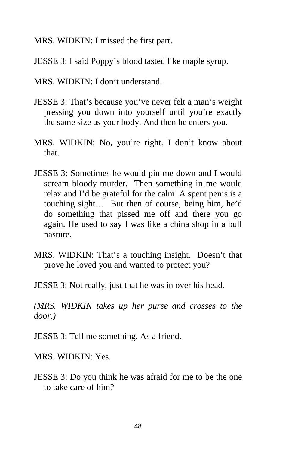MRS. WIDKIN: I missed the first part.

JESSE 3: I said Poppy's blood tasted like maple syrup.

- MRS. WIDKIN: I don't understand.
- JESSE 3: That's because you've never felt a man's weight pressing you down into yourself until you're exactly the same size as your body. And then he enters you.
- MRS. WIDKIN: No, you're right. I don't know about that.
- JESSE 3: Sometimes he would pin me down and I would scream bloody murder. Then something in me would relax and I'd be grateful for the calm. A spent penis is a touching sight… But then of course, being him, he'd do something that pissed me off and there you go again. He used to say I was like a china shop in a bull pasture.
- MRS. WIDKIN: That's a touching insight. Doesn't that prove he loved you and wanted to protect you?
- JESSE 3: Not really, just that he was in over his head.

*(MRS. WIDKIN takes up her purse and crosses to the door.)* 

JESSE 3: Tell me something. As a friend.

MRS. WIDKIN: Yes.

JESSE 3: Do you think he was afraid for me to be the one to take care of him?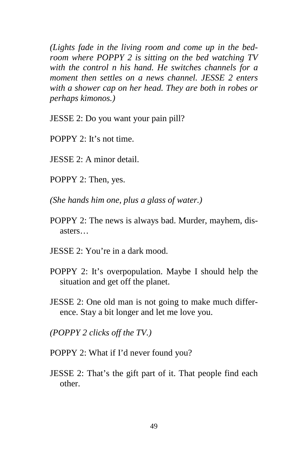*(Lights fade in the living room and come up in the bedroom where POPPY 2 is sitting on the bed watching TV with the control n his hand. He switches channels for a moment then settles on a news channel. JESSE 2 enters with a shower cap on her head. They are both in robes or perhaps kimonos.)* 

JESSE 2: Do you want your pain pill?

- POPPY 2: It's not time.
- JESSE 2: A minor detail.
- POPPY 2: Then, yes.
- *(She hands him one, plus a glass of water.)*
- POPPY 2: The news is always bad. Murder, mayhem, disasters…
- JESSE 2: You're in a dark mood.
- POPPY 2: It's overpopulation. Maybe I should help the situation and get off the planet.
- JESSE 2: One old man is not going to make much difference. Stay a bit longer and let me love you.
- *(POPPY 2 clicks off the TV.)*
- POPPY 2: What if I'd never found you?
- JESSE 2: That's the gift part of it. That people find each other.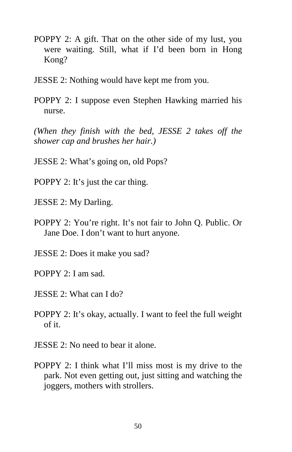- POPPY 2: A gift. That on the other side of my lust, you were waiting. Still, what if I'd been born in Hong Kong?
- JESSE 2: Nothing would have kept me from you.
- POPPY 2: I suppose even Stephen Hawking married his nurse.

*(When they finish with the bed, JESSE 2 takes off the shower cap and brushes her hair.)* 

- JESSE 2: What's going on, old Pops?
- POPPY 2: It's just the car thing.
- JESSE 2: My Darling.
- POPPY 2: You're right. It's not fair to John Q. Public. Or Jane Doe. I don't want to hurt anyone.
- JESSE 2: Does it make you sad?
- POPPY 2: I am sad.
- JESSE 2: What can I do?
- POPPY 2: It's okay, actually. I want to feel the full weight of it.
- JESSE 2: No need to bear it alone.
- POPPY 2: I think what I'll miss most is my drive to the park. Not even getting out, just sitting and watching the joggers, mothers with strollers.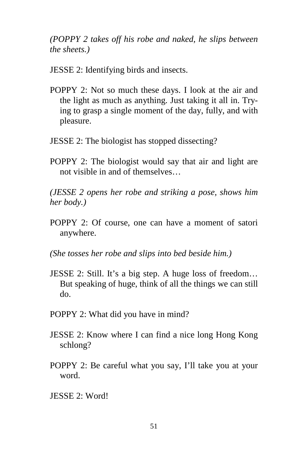*(POPPY 2 takes off his robe and naked, he slips between the sheets.)* 

JESSE 2: Identifying birds and insects.

- POPPY 2: Not so much these days. I look at the air and the light as much as anything. Just taking it all in. Trying to grasp a single moment of the day, fully, and with pleasure.
- JESSE 2: The biologist has stopped dissecting?
- POPPY 2: The biologist would say that air and light are not visible in and of themselves…

*(JESSE 2 opens her robe and striking a pose, shows him her body.)* 

- POPPY 2: Of course, one can have a moment of satori anywhere.
- *(She tosses her robe and slips into bed beside him.)*
- JESSE 2: Still. It's a big step. A huge loss of freedom… But speaking of huge, think of all the things we can still do.
- POPPY 2: What did you have in mind?
- JESSE 2: Know where I can find a nice long Hong Kong schlong?
- POPPY 2: Be careful what you say, I'll take you at your word.
- JESSE 2: Word!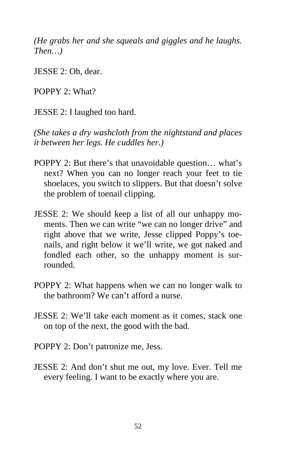*(He grabs her and she squeals and giggles and he laughs. Then…)* 

JESSE 2: Oh, dear.

POPPY 2: What?

JESSE 2: I laughed too hard.

*(She takes a dry washcloth from the nightstand and places it between her legs. He cuddles her.)* 

- POPPY 2: But there's that unavoidable question… what's next? When you can no longer reach your feet to tie shoelaces, you switch to slippers. But that doesn't solve the problem of toenail clipping.
- JESSE 2: We should keep a list of all our unhappy moments. Then we can write "we can no longer drive" and right above that we write, Jesse clipped Poppy's toenails, and right below it we'll write, we got naked and fondled each other, so the unhappy moment is surrounded.
- POPPY 2: What happens when we can no longer walk to the bathroom? We can't afford a nurse.
- JESSE 2: We'll take each moment as it comes, stack one on top of the next, the good with the bad.
- POPPY 2: Don't patronize me, Jess.
- JESSE 2: And don't shut me out, my love. Ever. Tell me every feeling. I want to be exactly where you are.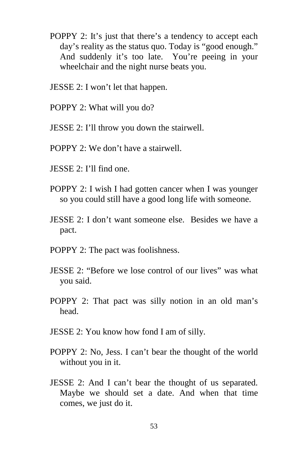- POPPY 2: It's just that there's a tendency to accept each day's reality as the status quo. Today is "good enough." And suddenly it's too late. You're peeing in your wheelchair and the night nurse beats you.
- JESSE 2: I won't let that happen.
- POPPY 2: What will you do?
- JESSE 2: I'll throw you down the stairwell.
- POPPY 2: We don't have a stairwell.
- JESSE 2: I'll find one.
- POPPY 2: I wish I had gotten cancer when I was younger so you could still have a good long life with someone.
- JESSE 2: I don't want someone else. Besides we have a pact.
- POPPY 2: The pact was foolishness.
- JESSE 2: "Before we lose control of our lives" was what you said.
- POPPY 2: That pact was silly notion in an old man's head.
- JESSE 2: You know how fond I am of silly.
- POPPY 2: No, Jess. I can't bear the thought of the world without you in it.
- JESSE 2: And I can't bear the thought of us separated. Maybe we should set a date. And when that time comes, we just do it.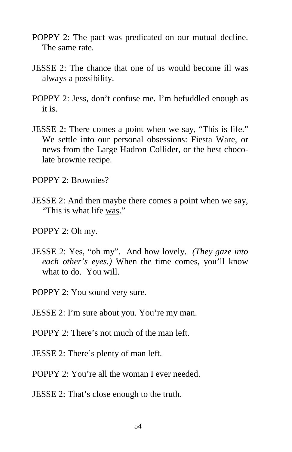- POPPY 2: The pact was predicated on our mutual decline. The same rate.
- JESSE 2: The chance that one of us would become ill was always a possibility.
- POPPY 2: Jess, don't confuse me. I'm befuddled enough as it is.
- JESSE 2: There comes a point when we say, "This is life." We settle into our personal obsessions: Fiesta Ware, or news from the Large Hadron Collider, or the best chocolate brownie recipe.
- POPPY 2: Brownies?
- JESSE 2: And then maybe there comes a point when we say, "This is what life was."
- POPPY 2: Oh my.
- JESSE 2: Yes, "oh my". And how lovely. *(They gaze into each other's eyes.)* When the time comes, you'll know what to do. You will.
- POPPY 2: You sound very sure.
- JESSE 2: I'm sure about you. You're my man.
- POPPY 2: There's not much of the man left.
- JESSE 2: There's plenty of man left.
- POPPY 2: You're all the woman I ever needed.
- JESSE 2: That's close enough to the truth.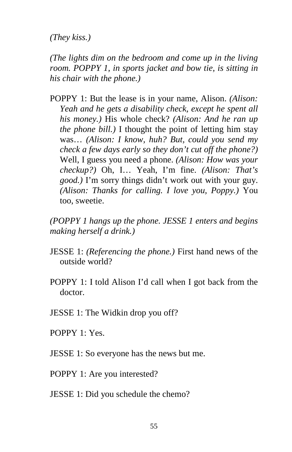*(They kiss.)* 

*(The lights dim on the bedroom and come up in the living room. POPPY 1, in sports jacket and bow tie, is sitting in his chair with the phone.)* 

POPPY 1: But the lease is in your name, Alison. *(Alison: Yeah and he gets a disability check, except he spent all his money.)* His whole check? *(Alison: And he ran up the phone bill.)* I thought the point of letting him stay was… *(Alison: I know, huh? But, could you send my check a few days early so they don't cut off the phone?)*  Well, I guess you need a phone. *(Alison: How was your checkup?)* Oh, I… Yeah, I'm fine. *(Alison: That's good.)* I'm sorry things didn't work out with your guy. *(Alison: Thanks for calling. I love you, Poppy.)* You too, sweetie.

*(POPPY 1 hangs up the phone. JESSE 1 enters and begins making herself a drink.)* 

- JESSE 1: *(Referencing the phone.)* First hand news of the outside world?
- POPPY 1: I told Alison I'd call when I got back from the doctor.
- JESSE 1: The Widkin drop you off?
- POPPY 1: Yes.
- JESSE 1: So everyone has the news but me.
- POPPY 1: Are you interested?

JESSE 1: Did you schedule the chemo?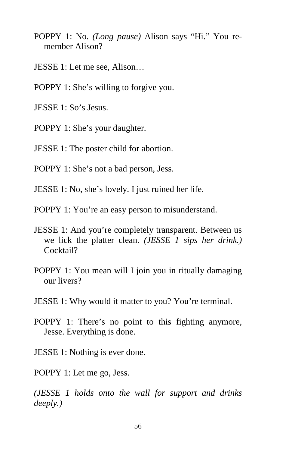- POPPY 1: No. *(Long pause)* Alison says "Hi." You remember Alison?
- JESSE 1: Let me see, Alison…
- POPPY 1: She's willing to forgive you.
- JESSE 1: So's Jesus.
- POPPY 1: She's your daughter.
- JESSE 1: The poster child for abortion.
- POPPY 1: She's not a bad person, Jess.
- JESSE 1: No, she's lovely. I just ruined her life.
- POPPY 1: You're an easy person to misunderstand.
- JESSE 1: And you're completely transparent. Between us we lick the platter clean. *(JESSE 1 sips her drink.)* Cocktail?
- POPPY 1: You mean will I join you in ritually damaging our livers?
- JESSE 1: Why would it matter to you? You're terminal.
- POPPY 1: There's no point to this fighting anymore, Jesse. Everything is done.
- JESSE 1: Nothing is ever done.
- POPPY 1: Let me go, Jess.

*(JESSE 1 holds onto the wall for support and drinks deeply.)*